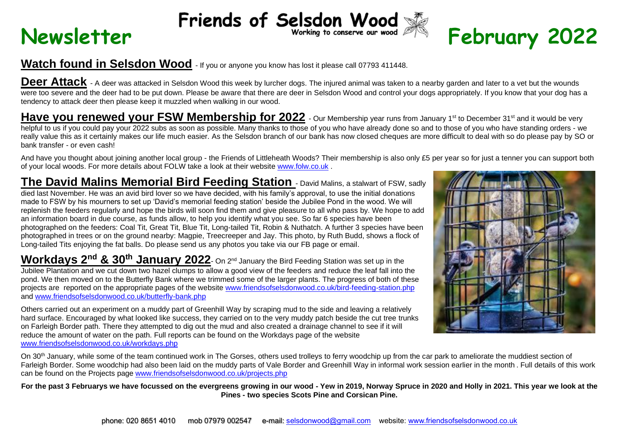## **Newsletter** Friends of Selsdon Wood  $\tilde{\mathbb{R}}$  February 2022



## **Watch found in Selsdon Wood** - If you or anyone you know has lost it please call 07793 411448.

Deer Attack - A deer was attacked in Selsdon Wood this week by lurcher dogs. The injured animal was taken to a nearby garden and later to a vet but the wounds were too severe and the deer had to be put down. Please be aware that there are deer in Selsdon Wood and control your dogs appropriately. If you know that your dog has a tendency to attack deer then please keep it muzzled when walking in our wood.

Have you renewed your FSW Membership for 2022 - Our Membership year runs from January 1<sup>st</sup> to December 31<sup>st</sup> and it would be very helpful to us if you could pay your 2022 subs as soon as possible. Many thanks to those of you who have so and to those of you who have standing orders - we really value this as it certainly makes our life much easier. As the Selsdon branch of our bank has now closed cheques are more difficult to deal with so do please pay by SO or bank transfer - or even cash!

And have you thought about joining another local group - the Friends of Littleheath Woods? Their membership is also only £5 per year so for just a tenner you can support both of your local woods. For more details about FOLW take a look at their website [www.folw.co.uk](http://www.folw.co.uk/) .

**The David Malins Memorial Bird Feeding Station** - David Malins, a stalwart of FSW, sadly died last November. He was an avid bird lover so we have decided, with his family's approval, to use the initial donations made to FSW by his mourners to set up 'David's memorial feeding station' beside the Jubilee Pond in the wood. We will replenish the feeders regularly and hope the birds will soon find them and give pleasure to all who pass by. We hope to add an information board in due course, as funds allow, to help you identify what you see. So far 6 species have been photographed on the feeders: Coal Tit, Great Tit, Blue Tit, Long-tailed Tit, Robin & Nuthatch. A further 3 species have been photographed in trees or on the ground nearby: Magpie, Treecreeper and Jay. This photo, by Ruth Budd, shows a flock of Long-tailed Tits enjoying the fat balls. Do please send us any photos you take via our FB page or email.

**Workdays 2 nd & 30th January 2022**- On 2nd January the Bird Feeding Station was set up in the Jubilee Plantation and we cut down two hazel clumps to allow a good view of the feeders and reduce the leaf fall into the pond. We then moved on to the Butterfly Bank where we trimmed some of the larger plants. The progress of both of these projects are reported on the appropriate pages of the website [www.friendsofselsdonwood.co.uk/bird-feeding-station.php](http://www.friendsofselsdonwood.co.uk/bird-feeding-station.php) and [www.friendsofselsdonwood.co.uk/butterfly-bank.php](http://www.friendsofselsdonwood.co.uk/butterfly-bank.php)

Others carried out an experiment on a muddy part of Greenhill Way by scraping mud to the side and leaving a relatively hard surface. Encouraged by what looked like success, they carried on to the very muddy patch beside the cut tree trunks on Farleigh Border path. There they attempted to dig out the mud and also created a drainage channel to see if it will reduce the amount of water on the path. Full reports can be found on the Workdays page of the website [www.friendsofselsdonwood.co.uk/workdays.php](http://www.friendsofselsdonwood.co.uk/workdays.php)



On 30<sup>th</sup> January, while some of the team continued work in The Gorses, others used trolleys to ferry woodchip up from the car park to ameliorate the muddiest section of Farleigh Border. Some woodchip had also been laid on the muddy parts of Vale Border and Greenhill Way in informal work session earlier in the month. Full details of this work can be found on the Projects page [www.friendsofselsdonwood.co.uk/projects.php](http://www.friendsofselsdonwood.co.uk/projects.php)

**For the past 3 Februarys we have focussed on the evergreens growing in our wood - Yew in 2019, Norway Spruce in 2020 and Holly in 2021. This year we look at the Pines - two species Scots Pine and Corsican Pine.**